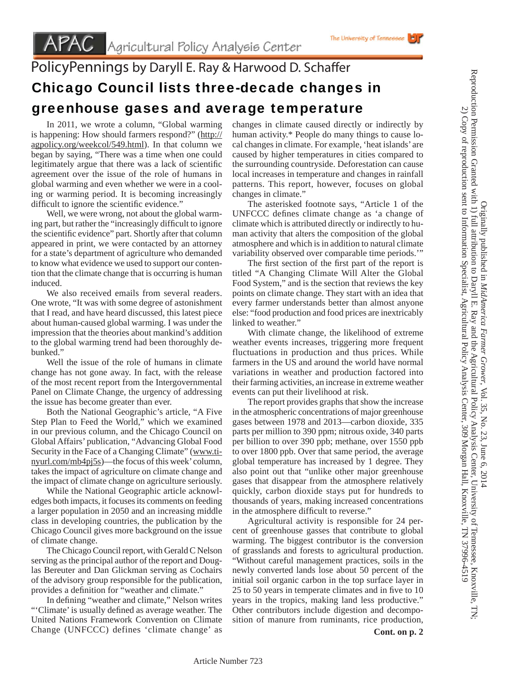## PolicyPennings by Daryll E. Ray & Harwood D. Schaffer Chicago Council lists three-decade changes in greenhouse gases and average temperature

 In 2011, we wrote a column, "Global warming is happening: How should farmers respond?" (http:// agpolicy.org/weekcol/549.html). In that column we began by saying, "There was a time when one could legitimately argue that there was a lack of scientific agreement over the issue of the role of humans in global warming and even whether we were in a cooling or warming period. It is becoming increasingly difficult to ignore the scientific evidence."

 Well, we were wrong, not about the global warming part, but rather the "increasingly difficult to ignore" the scientific evidence" part. Shortly after that column appeared in print, we were contacted by an attorney for a state's department of agriculture who demanded to know what evidence we used to support our contention that the climate change that is occurring is human induced.

 We also received emails from several readers. One wrote, "It was with some degree of astonishment that I read, and have heard discussed, this latest piece about human-caused global warming. I was under the impression that the theories about mankind's addition to the global warming trend had been thoroughly debunked."

 Well the issue of the role of humans in climate change has not gone away. In fact, with the release of the most recent report from the Intergovernmental Panel on Climate Change, the urgency of addressing the issue has become greater than ever.

 Both the National Geographic's article, "A Five Step Plan to Feed the World," which we examined in our previous column, and the Chicago Council on Global Affairs' publication, "Advancing Global Food Security in the Face of a Changing Climate" (www.tinyurl.com/mb4pj5s)—the focus of this week' column, takes the impact of agriculture on climate change and the impact of climate change on agriculture seriously.

 While the National Geographic article acknowledges both impacts, it focuses its comments on feeding a larger population in 2050 and an increasing middle class in developing countries, the publication by the Chicago Council gives more background on the issue of climate change.

 The Chicago Council report, with Gerald C Nelson serving as the principal author of the report and Douglas Bereuter and Dan Glickman serving as Cochairs of the advisory group responsible for the publication, provides a definition for "weather and climate."

In defining "weather and climate," Nelson writes "'Climate' is usually defined as average weather. The United Nations Framework Convention on Climate Change (UNFCCC) defines 'climate change' as

changes in climate caused directly or indirectly by human activity.\* People do many things to cause local changes in climate. For example, 'heat islands' are caused by higher temperatures in cities compared to the surrounding countryside. Deforestation can cause local increases in temperature and changes in rainfall patterns. This report, however, focuses on global changes in climate."

The University of Tennessee

 The asterisked footnote says, "Article 1 of the UNFCCC defines climate change as 'a change of climate which is attributed directly or indirectly to human activity that alters the composition of the global atmosphere and which is in addition to natural climate variability observed over comparable time periods.'"

The first section of the first part of the report is titled "A Changing Climate Will Alter the Global Food System," and is the section that reviews the key points on climate change. They start with an idea that every farmer understands better than almost anyone else: "food production and food prices are inextricably linked to weather."

 With climate change, the likelihood of extreme weather events increases, triggering more frequent fluctuations in production and thus prices. While farmers in the US and around the world have normal variations in weather and production factored into their farming activities, an increase in extreme weather events can put their livelihood at risk.

 The report provides graphs that show the increase in the atmospheric concentrations of major greenhouse gases between 1978 and 2013—carbon dioxide, 335 parts per million to 390 ppm; nitrous oxide, 340 parts per billion to over 390 ppb; methane, over 1550 ppb to over 1800 ppb. Over that same period, the average global temperature has increased by 1 degree. They also point out that "unlike other major greenhouse gases that disappear from the atmosphere relatively quickly, carbon dioxide stays put for hundreds to thousands of years, making increased concentrations in the atmosphere difficult to reverse."

 Agricultural activity is responsible for 24 percent of greenhouse gasses that contribute to global warming. The biggest contributor is the conversion of grasslands and forests to agricultural production. "Without careful management practices, soils in the newly converted lands lose about 50 percent of the initial soil organic carbon in the top surface layer in 25 to 50 years in temperate climates and in five to 10 years in the tropics, making land less productive." Other contributors include digestion and decomposition of manure from ruminants, rice production,